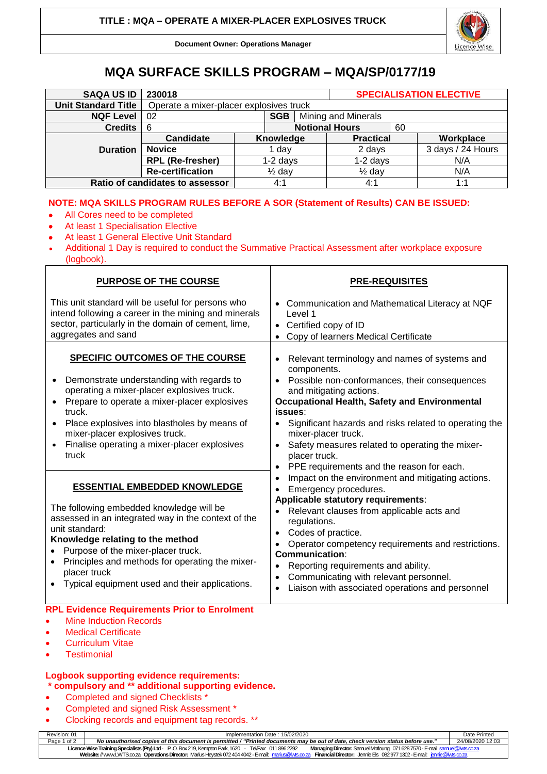

**Document Owner: Operations Manager**

## **MQA SURFACE SKILLS PROGRAM – MQA/SP/0177/19**

| <b>SAQA US ID</b>               | 230018                                  |            |                       |  |                   |    | <b>SPECIALISATION ELECTIVE</b> |
|---------------------------------|-----------------------------------------|------------|-----------------------|--|-------------------|----|--------------------------------|
| <b>Unit Standard Title</b>      | Operate a mixer-placer explosives truck |            |                       |  |                   |    |                                |
| <b>NQF Level</b>                | <b>SGB</b><br>02                        |            | Mining and Minerals   |  |                   |    |                                |
| <b>Credits</b>                  | -6                                      |            | <b>Notional Hours</b> |  |                   | 60 |                                |
|                                 | Candidate                               |            | Knowledge             |  | <b>Practical</b>  |    | Workplace                      |
| <b>Duration</b>                 | <b>Novice</b>                           |            | dav                   |  | 2 days            |    | 3 days / 24 Hours              |
|                                 | <b>RPL (Re-fresher)</b>                 | $1-2$ days |                       |  | $1-2$ days        |    | N/A                            |
|                                 | <b>Re-certification</b>                 |            | $\frac{1}{2}$ day     |  | $\frac{1}{2}$ day |    | N/A                            |
| Ratio of candidates to assessor |                                         |            | 4:1                   |  | 4:1               |    | 1:1                            |

## **NOTE: MQA SKILLS PROGRAM RULES BEFORE A SOR (Statement of Results) CAN BE ISSUED:**

- All Cores need to be completed
- At least 1 Specialisation Elective
- At least 1 General Elective Unit Standard
- Additional 1 Day is required to conduct the Summative Practical Assessment after workplace exposure (logbook).

| <b>PURPOSE OF THE COURSE</b>                                                                                                                                                                                                                                                                                                                                                      | <b>PRE-REQUISITES</b>                                                                                                                                                                                                                                                                                                                                                                                                                                                          |  |  |  |
|-----------------------------------------------------------------------------------------------------------------------------------------------------------------------------------------------------------------------------------------------------------------------------------------------------------------------------------------------------------------------------------|--------------------------------------------------------------------------------------------------------------------------------------------------------------------------------------------------------------------------------------------------------------------------------------------------------------------------------------------------------------------------------------------------------------------------------------------------------------------------------|--|--|--|
| This unit standard will be useful for persons who<br>intend following a career in the mining and minerals<br>sector, particularly in the domain of cement, lime,<br>aggregates and sand                                                                                                                                                                                           | Communication and Mathematical Literacy at NQF<br>Level 1<br>Certified copy of ID<br>$\bullet$<br>Copy of learners Medical Certificate<br>$\bullet$                                                                                                                                                                                                                                                                                                                            |  |  |  |
| <b>SPECIFIC OUTCOMES OF THE COURSE</b><br>Demonstrate understanding with regards to<br>$\bullet$<br>operating a mixer-placer explosives truck.<br>Prepare to operate a mixer-placer explosives<br>truck.<br>Place explosives into blastholes by means of<br>mixer-placer explosives truck.<br>Finalise operating a mixer-placer explosives<br>$\bullet$<br>truck                  | Relevant terminology and names of systems and<br>$\bullet$<br>components.<br>Possible non-conformances, their consequences<br>$\bullet$<br>and mitigating actions.<br><b>Occupational Health, Safety and Environmental</b><br>issues:<br>Significant hazards and risks related to operating the<br>$\bullet$<br>mixer-placer truck.<br>Safety measures related to operating the mixer-<br>$\bullet$<br>placer truck.<br>PPE requirements and the reason for each.<br>$\bullet$ |  |  |  |
| <b>ESSENTIAL EMBEDDED KNOWLEDGE</b><br>The following embedded knowledge will be<br>assessed in an integrated way in the context of the<br>unit standard:<br>Knowledge relating to the method<br>Purpose of the mixer-placer truck.<br>$\bullet$<br>Principles and methods for operating the mixer-<br>$\bullet$<br>placer truck<br>Typical equipment used and their applications. | Impact on the environment and mitigating actions.<br>$\bullet$<br>Emergency procedures.<br>Applicable statutory requirements:<br>Relevant clauses from applicable acts and<br>regulations.<br>Codes of practice.<br>$\bullet$<br>Operator competency requirements and restrictions.<br>Communication:<br>Reporting requirements and ability.<br>$\bullet$<br>Communicating with relevant personnel.<br>$\bullet$<br>Liaison with associated operations and personnel           |  |  |  |
| <b>RPL Evidence Requirements Prior to Enrolment</b><br><b>Mine Induction Records</b><br><b>Medical Certificate</b>                                                                                                                                                                                                                                                                |                                                                                                                                                                                                                                                                                                                                                                                                                                                                                |  |  |  |

- 
- **Curriculum Vitae**
- **Testimonial**

## **Logbook supporting evidence requirements: \* compulsory and \*\* additional supporting evidence.**

- Completed and signed Checklists \*
- Completed and signed Risk Assessment \*
- Clocking records and equipment tag records. \*\*

| Revision: 01                                                                                                                                                                                  | Implementation Date: 15/02/2020                                                                                                 |                  |  |  |  |
|-----------------------------------------------------------------------------------------------------------------------------------------------------------------------------------------------|---------------------------------------------------------------------------------------------------------------------------------|------------------|--|--|--|
| Page 1 of 2                                                                                                                                                                                   | No unauthorised copies of this document is permitted / "Printed documents may be out of date, check version status before use." | 24/08/2020 12:03 |  |  |  |
| Licence Wise Training Specialists (Pty) Ltd - P.O. Box 219, Kempton Park, 1620 - Tel/Fax: 011 896 2292<br>Managing Director: Samuel Motloung 071 628 7570 - E-mail: samuel@lwts.co.za         |                                                                                                                                 |                  |  |  |  |
| Website: // www.LWTS.co.za Operations Director: Marius Heystek 0724044042 - E-mail: marius@lwts.co.za<br><b>Financial Director:</b> Jennie Els 082977 1302 - E-mail: <i>iennie@lwts.co.za</i> |                                                                                                                                 |                  |  |  |  |
|                                                                                                                                                                                               |                                                                                                                                 |                  |  |  |  |